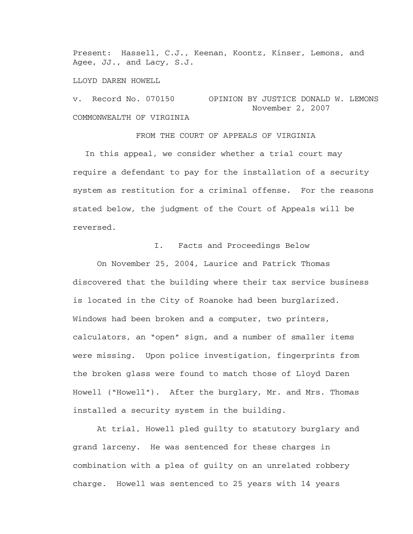Present: Hassell, C.J., Keenan, Koontz, Kinser, Lemons, and Agee, JJ., and Lacy, S.J.

LLOYD DAREN HOWELL

v. Record No. 070150 OPINION BY JUSTICE DONALD W. LEMONS November 2, 2007 COMMONWEALTH OF VIRGINIA

FROM THE COURT OF APPEALS OF VIRGINIA

In this appeal, we consider whether a trial court may require a defendant to pay for the installation of a security system as restitution for a criminal offense. For the reasons stated below, the judgment of the Court of Appeals will be reversed.

## I. Facts and Proceedings Below

On November 25, 2004, Laurice and Patrick Thomas discovered that the building where their tax service business is located in the City of Roanoke had been burglarized. Windows had been broken and a computer, two printers, calculators, an "open" sign, and a number of smaller items were missing. Upon police investigation, fingerprints from the broken glass were found to match those of Lloyd Daren Howell ("Howell"). After the burglary, Mr. and Mrs. Thomas installed a security system in the building.

 At trial, Howell pled guilty to statutory burglary and grand larceny. He was sentenced for these charges in combination with a plea of guilty on an unrelated robbery charge. Howell was sentenced to 25 years with 14 years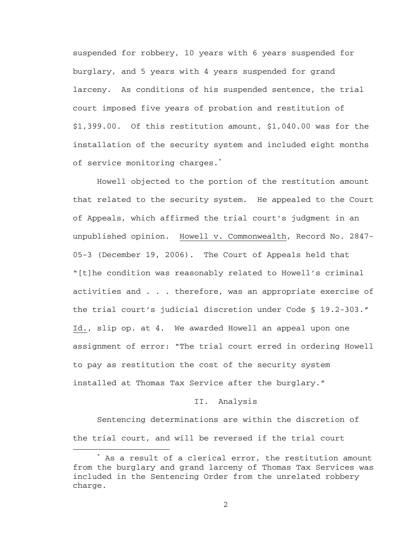suspended for robbery, 10 years with 6 years suspended for burglary, and 5 years with 4 years suspended for grand larceny. As conditions of his suspended sentence, the trial court imposed five years of probation and restitution of \$1,399.00. Of this restitution amount, \$1,040.00 was for the installation of the security system and included eight months of service monitoring charges.\*

 Howell objected to the portion of the restitution amount that related to the security system. He appealed to the Court of Appeals, which affirmed the trial court's judgment in an unpublished opinion. Howell v. Commonwealth, Record No. 2847- 05-3 (December 19, 2006). The Court of Appeals held that "[t]he condition was reasonably related to Howell's criminal activities and . . . therefore, was an appropriate exercise of the trial court's judicial discretion under Code § 19.2-303." Id., slip op. at 4. We awarded Howell an appeal upon one assignment of error: "The trial court erred in ordering Howell to pay as restitution the cost of the security system installed at Thomas Tax Service after the burglary."

## II. Analysis

Sentencing determinations are within the discretion of the trial court, and will be reversed if the trial court

 $\overline{\phantom{a}}$  As a result of a clerical error, the restitution amount from the burglary and grand larceny of Thomas Tax Services was included in the Sentencing Order from the unrelated robbery charge.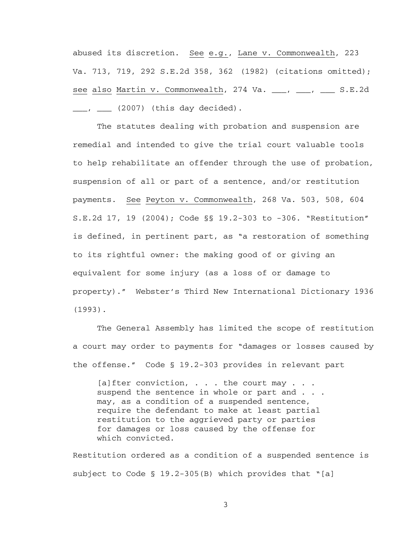abused its discretion. See e.g., Lane v. Commonwealth, 223 Va. 713, 719, 292 S.E.2d 358, 362 (1982) (citations omitted); see also Martin v. Commonwealth, 274 Va. \_\_\_, \_\_\_, \_\_\_ S.E.2d \_\_\_, \_\_\_\_ (2007) (this day decided).

The statutes dealing with probation and suspension are remedial and intended to give the trial court valuable tools to help rehabilitate an offender through the use of probation, suspension of all or part of a sentence, and/or restitution payments. See Peyton v. Commonwealth, 268 Va. 503, 508, 604 S.E.2d 17, 19 (2004); Code §§ 19.2-303 to -306. "Restitution" is defined, in pertinent part, as "a restoration of something to its rightful owner: the making good of or giving an equivalent for some injury (as a loss of or damage to property)." Webster's Third New International Dictionary 1936 (1993).

The General Assembly has limited the scope of restitution a court may order to payments for "damages or losses caused by the offense." Code § 19.2-303 provides in relevant part

[a] fter conviction,  $\ldots$  the court may  $\ldots$ suspend the sentence in whole or part and . . . may, as a condition of a suspended sentence, require the defendant to make at least partial restitution to the aggrieved party or parties for damages or loss caused by the offense for which convicted.

Restitution ordered as a condition of a suspended sentence is subject to Code § 19.2-305(B) which provides that "[a]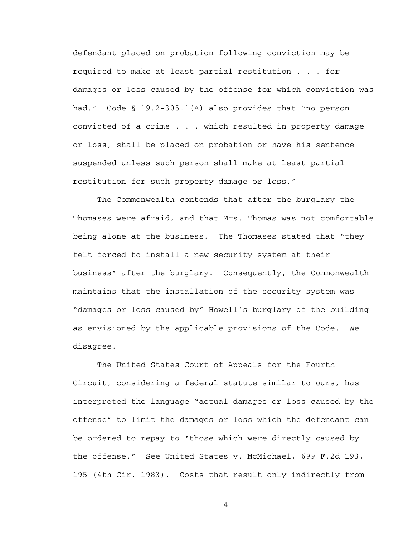defendant placed on probation following conviction may be required to make at least partial restitution . . . for damages or loss caused by the offense for which conviction was had." Code § 19.2-305.1(A) also provides that "no person convicted of a crime . . . which resulted in property damage or loss, shall be placed on probation or have his sentence suspended unless such person shall make at least partial restitution for such property damage or loss."

 The Commonwealth contends that after the burglary the Thomases were afraid, and that Mrs. Thomas was not comfortable being alone at the business. The Thomases stated that "they felt forced to install a new security system at their business" after the burglary. Consequently, the Commonwealth maintains that the installation of the security system was "damages or loss caused by" Howell's burglary of the building as envisioned by the applicable provisions of the Code. We disagree.

The United States Court of Appeals for the Fourth Circuit, considering a federal statute similar to ours, has interpreted the language "actual damages or loss caused by the offense" to limit the damages or loss which the defendant can be ordered to repay to "those which were directly caused by the offense." See United States v. McMichael, 699 F.2d 193, 195 (4th Cir. 1983). Costs that result only indirectly from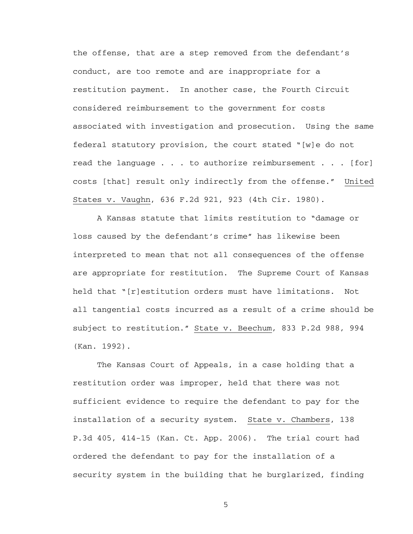the offense, that are a step removed from the defendant's conduct, are too remote and are inappropriate for a restitution payment. In another case, the Fourth Circuit considered reimbursement to the government for costs associated with investigation and prosecution. Using the same federal statutory provision, the court stated "[w]e do not read the language . . . to authorize reimbursement . . . [for] costs [that] result only indirectly from the offense." United States v. Vaughn, 636 F.2d 921, 923 (4th Cir. 1980).

A Kansas statute that limits restitution to "damage or loss caused by the defendant's crime" has likewise been interpreted to mean that not all consequences of the offense are appropriate for restitution. The Supreme Court of Kansas held that "[r]estitution orders must have limitations. Not all tangential costs incurred as a result of a crime should be subject to restitution." State v. Beechum, 833 P.2d 988, 994 (Kan. 1992).

The Kansas Court of Appeals, in a case holding that a restitution order was improper, held that there was not sufficient evidence to require the defendant to pay for the installation of a security system. State v. Chambers, 138 P.3d 405, 414-15 (Kan. Ct. App. 2006). The trial court had ordered the defendant to pay for the installation of a security system in the building that he burglarized, finding